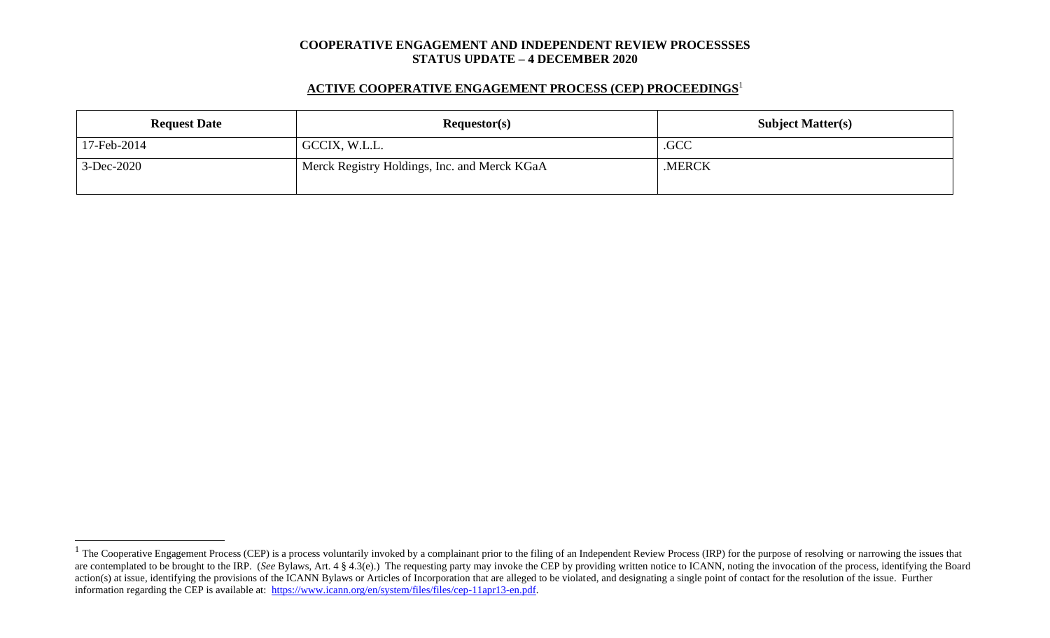#### **COOPERATIVE ENGAGEMENT AND INDEPENDENT REVIEW PROCESSSES STATUS UPDATE – 4 DECEMBER 2020**

## **ACTIVE COOPERATIVE ENGAGEMENT PROCESS (CEP) PROCEEDINGS** 1

| <b>Request Date</b> | Requestor(s)                                 | <b>Subject Matter(s)</b> |  |  |
|---------------------|----------------------------------------------|--------------------------|--|--|
| 17-Feb-2014         | GCCIX, W.L.L.                                | .GCC                     |  |  |
| 3-Dec-2020          | Merck Registry Holdings, Inc. and Merck KGaA | .MERCK                   |  |  |

 $1$  The Cooperative Engagement Process (CEP) is a process voluntarily invoked by a complainant prior to the filing of an Independent Review Process (IRP) for the purpose of resolving or narrowing the issues that are contemplated to be brought to the IRP. (*See* Bylaws, Art. 4 § 4.3(e).) The requesting party may invoke the CEP by providing written notice to ICANN, noting the invocation of the process, identifying the Board action(s) at issue, identifying the provisions of the ICANN Bylaws or Articles of Incorporation that are alleged to be violated, and designating a single point of contact for the resolution of the issue. Further information regarding the CEP is available at: [https://www.icann.org/en/system/files/files/cep-11apr13-en.pdf.](https://www.icann.org/en/system/files/files/cep-11apr13-en.pdf)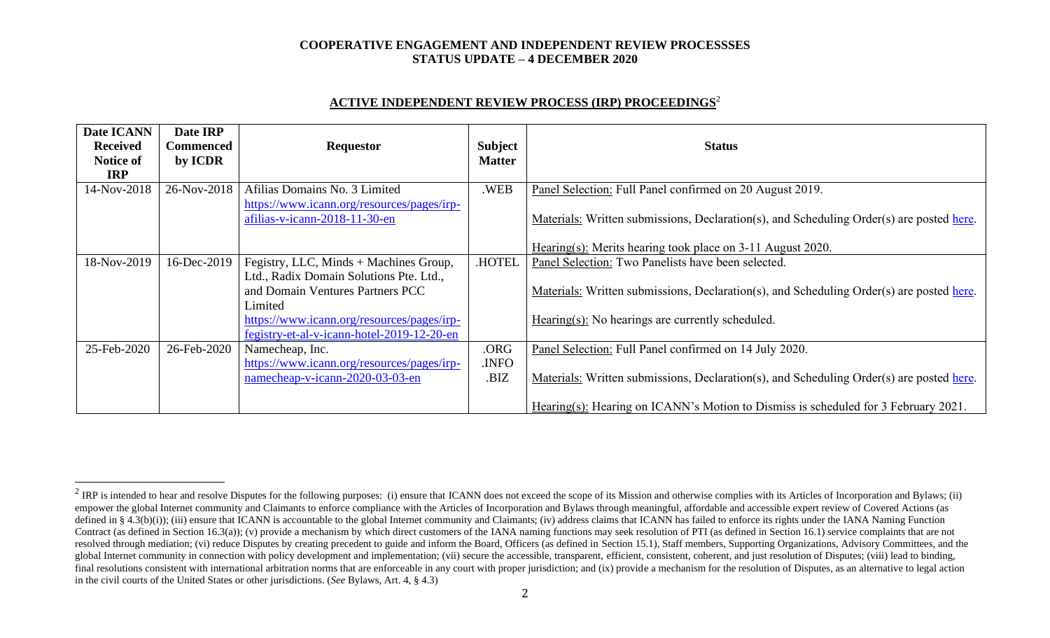### **COOPERATIVE ENGAGEMENT AND INDEPENDENT REVIEW PROCESSSES STATUS UPDATE – 4 DECEMBER 2020**

# **ACTIVE INDEPENDENT REVIEW PROCESS (IRP) PROCEEDINGS** 2

| Date ICANN<br><b>Received</b><br><b>Notice of</b><br><b>IRP</b> | Date IRP<br>Commenced<br>by ICDR | <b>Requestor</b>                                                                         | <b>Subject</b><br><b>Matter</b> | <b>Status</b>                                                                            |  |
|-----------------------------------------------------------------|----------------------------------|------------------------------------------------------------------------------------------|---------------------------------|------------------------------------------------------------------------------------------|--|
| 14-Nov-2018                                                     | 26-Nov-2018                      | Afilias Domains No. 3 Limited                                                            | .WEB                            | Panel Selection: Full Panel confirmed on 20 August 2019.                                 |  |
|                                                                 |                                  | https://www.icann.org/resources/pages/irp-<br>afilias-v-icann-2018-11-30-en              |                                 | Materials: Written submissions, Declaration(s), and Scheduling Order(s) are posted here. |  |
|                                                                 |                                  |                                                                                          |                                 | Hearing(s): Merits hearing took place on 3-11 August 2020.                               |  |
| 18-Nov-2019                                                     | 16-Dec-2019                      | Fegistry, LLC, Minds + Machines Group,                                                   | <b>HOTEL</b>                    | Panel Selection: Two Panelists have been selected.                                       |  |
|                                                                 |                                  | Ltd., Radix Domain Solutions Pte. Ltd.,<br>and Domain Ventures Partners PCC<br>Limited   |                                 | Materials: Written submissions, Declaration(s), and Scheduling Order(s) are posted here. |  |
|                                                                 |                                  | https://www.icann.org/resources/pages/irp-<br>fegistry-et-al-v-icann-hotel-2019-12-20-en |                                 | Hearing(s): No hearings are currently scheduled.                                         |  |
| 25-Feb-2020                                                     | 26-Feb-2020                      | Namecheap, Inc.                                                                          | .ORG                            | Panel Selection: Full Panel confirmed on 14 July 2020.                                   |  |
|                                                                 |                                  | https://www.icann.org/resources/pages/irp-                                               | .INFO                           |                                                                                          |  |
|                                                                 |                                  | namecheap-v-icann-2020-03-03-en                                                          | .BIZ                            | Materials: Written submissions, Declaration(s), and Scheduling Order(s) are posted here. |  |
|                                                                 |                                  |                                                                                          |                                 | Hearing(s): Hearing on ICANN's Motion to Dismiss is scheduled for 3 February 2021.       |  |

<sup>&</sup>lt;sup>2</sup> IRP is intended to hear and resolve Disputes for the following purposes: (i) ensure that ICANN does not exceed the scope of its Mission and otherwise complies with its Articles of Incorporation and Bylaws; (ii) empower the global Internet community and Claimants to enforce compliance with the Articles of Incorporation and Bylaws through meaningful, affordable and accessible expert review of Covered Actions (as defined in § 4.3(b)(i)); (iii) ensure that ICANN is accountable to the global Internet community and Claimants; (iv) address claims that ICANN has failed to enforce its rights under the IANA Naming Function Contract (as defined in Section 16.3(a)); (v) provide a mechanism by which direct customers of the IANA naming functions may seek resolution of PTI (as defined in Section 16.1) service complaints that are not resolved through mediation; (vi) reduce Disputes by creating precedent to guide and inform the Board, Officers (as defined in Section 15.1), Staff members, Supporting Organizations, Advisory Committees, and the global Internet community in connection with policy development and implementation; (vii) secure the accessible, transparent, efficient, consistent, coherent, and just resolution of Disputes; (viii) lead to binding, final resolutions consistent with international arbitration norms that are enforceable in any court with proper jurisdiction; and (ix) provide a mechanism for the resolution of Disputes, as an alternative to legal action in the civil courts of the United States or other jurisdictions. (*See* Bylaws, Art. 4, § 4.3)